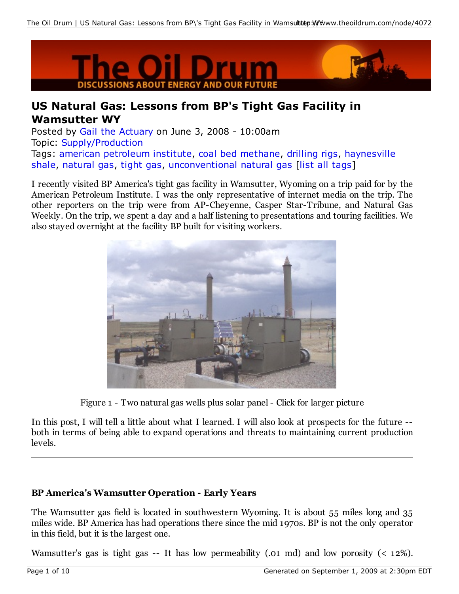

# **US Natural Gas: Lessons from BP's Tight Gas Facility in Wamsutter WY**

Posted by Gail the Actuary on June 3, 2008 - 10:00am Topic: Supply/Production Tags: american petroleum institute, coal bed methane, drilling rigs, haynesville shale, natural gas, tight gas, unconventional natural gas [list all tags]

I recently visited BP America's tight gas facility in Wamsutter, Wyoming on a trip paid for by the American Petroleum Institute. I was the only representative of internet media on the trip. The other reporters on the trip were from AP-Cheyenne, Casper Star-Tribune, and Natural Gas Weekly. On the trip, we spent a day and a half listening to presentations and touring facilities. We also stayed overnight at the facility BP built for visiting workers.



Figure 1 - Two natural gas wells plus solar panel - Click for larger picture

In this post, I will tell a little about what I learned. I will also look at prospects for the future - both in terms of being able to expand operations and threats to maintaining current production levels.

## **BP America's Wamsutter Operation - Early Years**

The Wamsutter gas field is located in southwestern Wyoming. It is about 55 miles long and 35 miles wide. BP America has had operations there since the mid 1970s. BP is not the only operator in this field, but it is the largest one.

Wamsutter's gas is tight gas -- It has low permeability (.01 md) and low porosity (< 12%).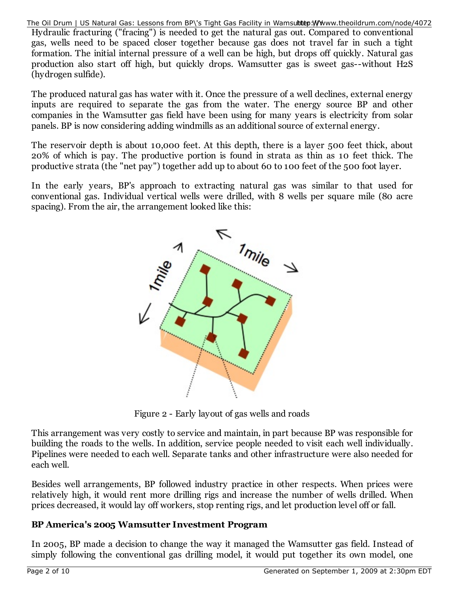Hydraulic fracturing ("fracing") is needed to get the natural gas out. Compared to conventional gas, wells need to be spaced closer together because gas does not travel far in such a tight formation. The initial internal pressure of a well can be high, but drops off quickly. Natural gas production also start off high, but quickly drops. Wamsutter gas is sweet gas--without H2S (hydrogen sulfide). The Oil Drum | US Natural Gas: Lessons from BP\'s Tight Gas Facility in Wamsuluttep:WWww.theoildrum.com/node/4072

The produced natural gas has water with it. Once the pressure of a well declines, external energy inputs are required to separate the gas from the water. The energy source BP and other companies in the Wamsutter gas field have been using for many years is electricity from solar panels. BP is now considering adding windmills as an additional source of external energy.

The reservoir depth is about 10,000 feet. At this depth, there is a layer 500 feet thick, about 20% of which is pay. The productive portion is found in strata as thin as 10 feet thick. The productive strata (the "net pay") together add up to about 60 to 100 feet of the 500 foot layer.

In the early years, BP's approach to extracting natural gas was similar to that used for conventional gas. Individual vertical wells were drilled, with 8 wells per square mile (80 acre spacing). From the air, the arrangement looked like this:



Figure 2 - Early layout of gas wells and roads

This arrangement was very costly to service and maintain, in part because BP was responsible for building the roads to the wells. In addition, service people needed to visit each well individually. Pipelines were needed to each well. Separate tanks and other infrastructure were also needed for each well.

Besides well arrangements, BP followed industry practice in other respects. When prices were relatively high, it would rent more drilling rigs and increase the number of wells drilled. When prices decreased, it would lay off workers, stop renting rigs, and let production level off or fall.

## **BP America's 2005 Wamsutter Investment Program**

In 2005, BP made a decision to change the way it managed the Wamsutter gas field. Instead of simply following the conventional gas drilling model, it would put together its own model, one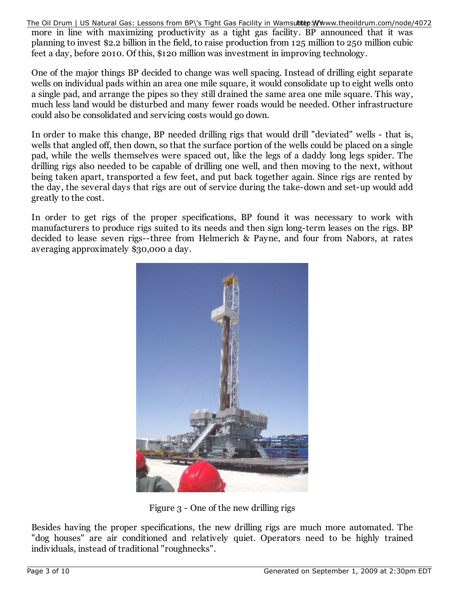more in line with maximizing productivity as a tight gas facility. BP announced that it was planning to invest \$2.2 billion in the field, to raise production from 125 million to 250 million cubic feet a day, before 2010. Of this, \$120 million was investment in improving technology. The Oil Drum | US Natural Gas: Lessons from BP\'s Tight Gas Facility in Wamsuluttep:WWww.theoildrum.com/node/4072

One of the major things BP decided to change was well spacing. Instead of drilling eight separate wells on individual pads within an area one mile square, it would consolidate up to eight wells onto a single pad, and arrange the pipes so they still drained the same area one mile square. This way, much less land would be disturbed and many fewer roads would be needed. Other infrastructure could also be consolidated and servicing costs would go down.

In order to make this change, BP needed drilling rigs that would drill "deviated" wells - that is, wells that angled off, then down, so that the surface portion of the wells could be placed on a single pad, while the wells themselves were spaced out, like the legs of a daddy long legs spider. The drilling rigs also needed to be capable of drilling one well, and then moving to the next, without being taken apart, transported a few feet, and put back together again. Since rigs are rented by the day, the several days that rigs are out of service during the take-down and set-up would add greatly to the cost.

In order to get rigs of the proper specifications, BP found it was necessary to work with manufacturers to produce rigs suited to its needs and then sign long-term leases on the rigs. BP decided to lease seven rigs--three from Helmerich & Payne, and four from Nabors, at rates averaging approximately \$30,000 a day.



Figure 3 - One of the new drilling rigs

Besides having the proper specifications, the new drilling rigs are much more automated. The "dog houses" are air conditioned and relatively quiet. Operators need to be highly trained individuals, instead of traditional "roughnecks".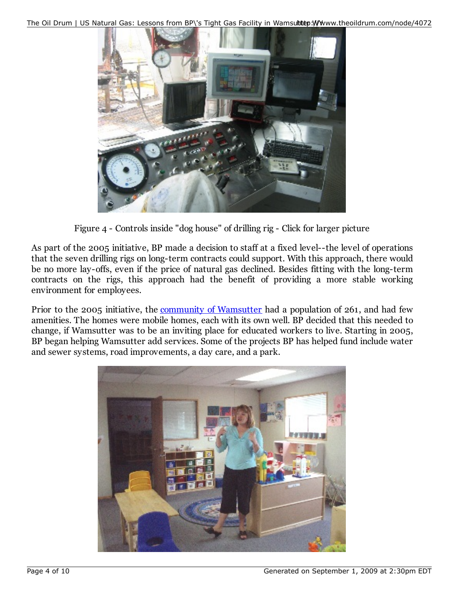The Oil Drum | US Natural Gas: Lessons from BP\'s Tight Gas Facility in Wamsuluttep: Wwww.theoildrum.com/node/4072



Figure 4 - Controls inside "dog house" of drilling rig - Click for larger picture

As part of the 2005 initiative, BP made a decision to staff at a fixed level--the level of operations that the seven drilling rigs on long-term contracts could support. With this approach, there would be no more lay-offs, even if the price of natural gas declined. Besides fitting with the long-term contracts on the rigs, this approach had the benefit of providing a more stable working environment for employees.

Prior to the 2005 initiative, the community of Wamsutter had a population of 261, and had few amenities. The homes were mobile homes, each with its own well. BP decided that this needed to change, if Wamsutter was to be an inviting place for educated workers to live. Starting in 2005, BP began helping Wamsutter add services. Some of the projects BP has helped fund include water and sewer systems, road improvements, a day care, and a park.

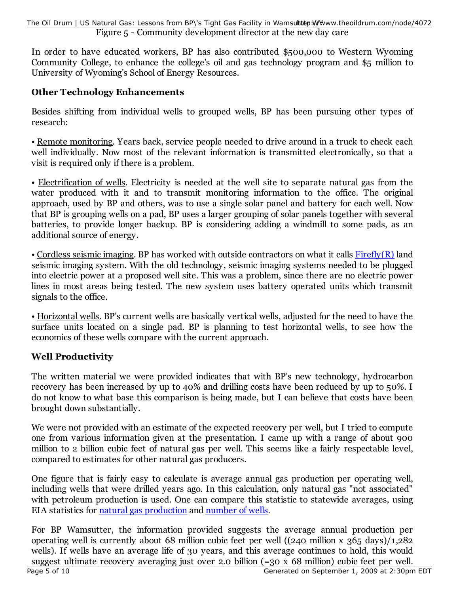Figure 5 - Community development director at the new day care The Oil Drum | US Natural Gas: Lessons from BP\'s Tight Gas Facility in Wamsuluttep:WWww.theoildrum.com/node/4072

In order to have educated workers, BP has also contributed \$500,000 to Western Wyoming Community College, to enhance the college's oil and gas technology program and \$5 million to University of Wyoming's School of Energy Resources.

#### **Other Technology Enhancements**

Besides shifting from individual wells to grouped wells, BP has been pursuing other types of research:

• Remote monitoring. Years back, service people needed to drive around in a truck to check each well individually. Now most of the relevant information is transmitted electronically, so that a visit is required only if there is a problem.

• Electrification of wells. Electricity is needed at the well site to separate natural gas from the water produced with it and to transmit monitoring information to the office. The original approach, used by BP and others, was to use a single solar panel and battery for each well. Now that BP is grouping wells on a pad, BP uses a larger grouping of solar panels together with several batteries, to provide longer backup. BP is considering adding a windmill to some pads, as an additional source of energy.

• Cordless seismic imaging. BP has worked with outside contractors on what it calls  $\text{Firefly}(R)$  land seismic imaging system. With the old technology, seismic imaging systems needed to be plugged into electric power at a proposed well site. This was a problem, since there are no electric power lines in most areas being tested. The new system uses battery operated units which transmit signals to the office.

• Horizontal wells. BP's current wells are basically vertical wells, adjusted for the need to have the surface units located on a single pad. BP is planning to test horizontal wells, to see how the economics of these wells compare with the current approach.

## **Well Productivity**

The written material we were provided indicates that with BP's new technology, hydrocarbon recovery has been increased by up to 40% and drilling costs have been reduced by up to 50%. I do not know to what base this comparison is being made, but I can believe that costs have been brought down substantially.

We were not provided with an estimate of the expected recovery per well, but I tried to compute one from various information given at the presentation. I came up with a range of about 900 million to 2 billion cubic feet of natural gas per well. This seems like a fairly respectable level, compared to estimates for other natural gas producers.

One figure that is fairly easy to calculate is average annual gas production per operating well, including wells that were drilled years ago. In this calculation, only natural gas "not associated" with petroleum production is used. One can compare this statistic to statewide averages, using EIA statistics for natural gas production and number of wells.

For BP Wamsutter, the information provided suggests the average annual production per operating well is currently about 68 million cubic feet per well ((240 million x 365 days)/1,282 wells). If wells have an average life of 30 years, and this average continues to hold, this would suggest ultimate recovery averaging just over 2.0 billion (=30 x 68 million) cubic feet per well.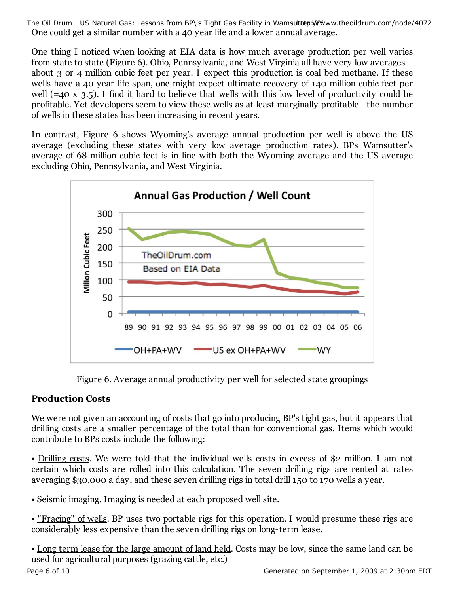One could get a similar number with a 40 year life and a lower annual average. The Oil Drum | US Natural Gas: Lessons from BP\'s Tight Gas Facility in Wamsulttetp:WWww.theoildrum.com/node/4072

One thing I noticed when looking at EIA data is how much average production per well varies from state to state (Figure 6). Ohio, Pennsylvania, and West Virginia all have very low averages- about 3 or 4 million cubic feet per year. I expect this production is coal bed methane. If these wells have a 40 year life span, one might expect ultimate recovery of 140 million cubic feet per well (=40 x 3.5). I find it hard to believe that wells with this low level of productivity could be profitable. Yet developers seem to view these wells as at least marginally profitable--the number of wells in these states has been increasing in recent years.

In contrast, Figure 6 shows Wyoming's average annual production per well is above the US average (excluding these states with very low average production rates). BPs Wamsutter's average of 68 million cubic feet is in line with both the Wyoming average and the US average excluding Ohio, Pennsylvania, and West Virginia.



Figure 6. Average annual productivity per well for selected state groupings

#### **Production Costs**

We were not given an accounting of costs that go into producing BP's tight gas, but it appears that drilling costs are a smaller percentage of the total than for conventional gas. Items which would contribute to BPs costs include the following:

• Drilling costs. We were told that the individual wells costs in excess of \$2 million. I am not certain which costs are rolled into this calculation. The seven drilling rigs are rented at rates averaging \$30,000 a day, and these seven drilling rigs in total drill 150 to 170 wells a year.

- Seismic imaging. Imaging is needed at each proposed well site.
- "Fracing" of wells. BP uses two portable rigs for this operation. I would presume these rigs are considerably less expensive than the seven drilling rigs on long-term lease.

• Long term lease for the large amount of land held. Costs may be low, since the same land can be used for agricultural purposes (grazing cattle, etc.)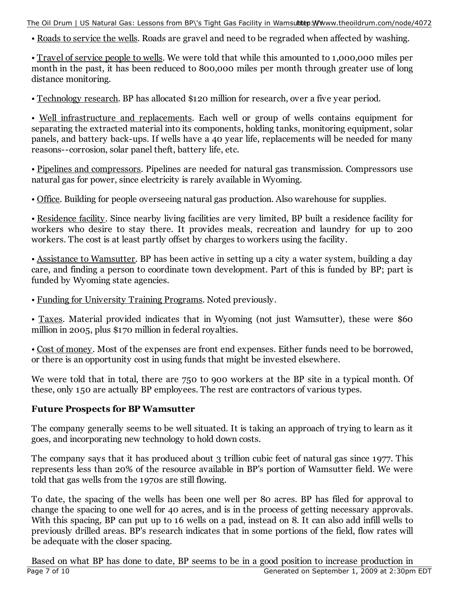The Oil Drum | US Natural Gas: Lessons from BP\'s Tight Gas Facility in Wamsultten:WWww.theoildrum.com/node/4072

• Roads to service the wells. Roads are gravel and need to be regraded when affected by washing.

• Travel of service people to wells. We were told that while this amounted to 1,000,000 miles per month in the past, it has been reduced to 800,000 miles per month through greater use of long distance monitoring.

• Technology research. BP has allocated \$120 million for research, over a five year period.

• Well infrastructure and replacements. Each well or group of wells contains equipment for separating the extracted material into its components, holding tanks, monitoring equipment, solar panels, and battery back-ups. If wells have a 40 year life, replacements will be needed for many reasons--corrosion, solar panel theft, battery life, etc.

• Pipelines and compressors. Pipelines are needed for natural gas transmission. Compressors use natural gas for power, since electricity is rarely available in Wyoming.

• Office. Building for people overseeing natural gas production. Also warehouse for supplies.

• Residence facility. Since nearby living facilities are very limited, BP built a residence facility for workers who desire to stay there. It provides meals, recreation and laundry for up to 200 workers. The cost is at least partly offset by charges to workers using the facility.

• Assistance to Wamsutter. BP has been active in setting up a city a water system, building a day care, and finding a person to coordinate town development. Part of this is funded by BP; part is funded by Wyoming state agencies.

• Funding for University Training Programs. Noted previously.

• Taxes. Material provided indicates that in Wyoming (not just Wamsutter), these were \$60 million in 2005, plus \$170 million in federal royalties.

• Cost of money. Most of the expenses are front end expenses. Either funds need to be borrowed, or there is an opportunity cost in using funds that might be invested elsewhere.

We were told that in total, there are 750 to 900 workers at the BP site in a typical month. Of these, only 150 are actually BP employees. The rest are contractors of various types.

#### **Future Prospects for BP Wamsutter**

The company generally seems to be well situated. It is taking an approach of trying to learn as it goes, and incorporating new technology to hold down costs.

The company says that it has produced about 3 trillion cubic feet of natural gas since 1977. This represents less than 20% of the resource available in BP's portion of Wamsutter field. We were told that gas wells from the 1970s are still flowing.

To date, the spacing of the wells has been one well per 80 acres. BP has filed for approval to change the spacing to one well for 40 acres, and is in the process of getting necessary approvals. With this spacing, BP can put up to 16 wells on a pad, instead on 8. It can also add infill wells to previously drilled areas. BP's research indicates that in some portions of the field, flow rates will be adequate with the closer spacing.

Based on what BP has done to date, BP seems to be in a good position to increase production in Page 7 of 10 Generated on September 1, 2009 at 2:30pm EDT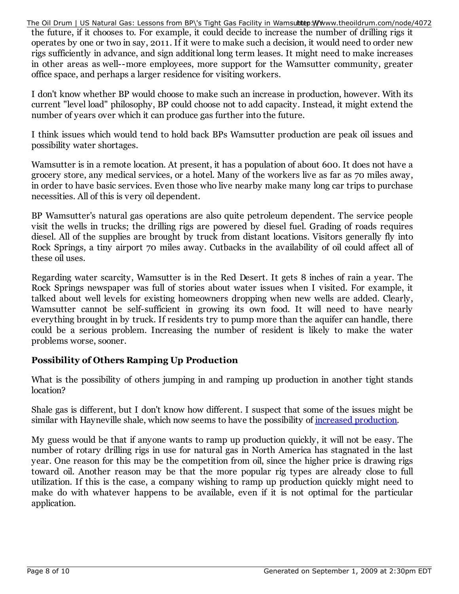the future, if it chooses to. For example, it could decide to increase the number of drilling rigs it operates by one or two in say, 2011. If it were to make such a decision, it would need to order new rigs sufficiently in advance, and sign additional long term leases. It might need to make increases in other areas as well--more employees, more support for the Wamsutter community, greater office space, and perhaps a larger residence for visiting workers. The Oil Drum | US Natural Gas: Lessons from BP\'s Tight Gas Facility in Wamsuluttep:WWww.theoildrum.com/node/4072

I don't know whether BP would choose to make such an increase in production, however. With its current "level load" philosophy, BP could choose not to add capacity. Instead, it might extend the number of years over which it can produce gas further into the future.

I think issues which would tend to hold back BPs Wamsutter production are peak oil issues and possibility water shortages.

Wamsutter is in a remote location. At present, it has a population of about 600. It does not have a grocery store, any medical services, or a hotel. Many of the workers live as far as 70 miles away, in order to have basic services. Even those who live nearby make many long car trips to purchase necessities. All of this is very oil dependent.

BP Wamsutter's natural gas operations are also quite petroleum dependent. The service people visit the wells in trucks; the drilling rigs are powered by diesel fuel. Grading of roads requires diesel. All of the supplies are brought by truck from distant locations. Visitors generally fly into Rock Springs, a tiny airport 70 miles away. Cutbacks in the availability of oil could affect all of these oil uses.

Regarding water scarcity, Wamsutter is in the Red Desert. It gets 8 inches of rain a year. The Rock Springs newspaper was full of stories about water issues when I visited. For example, it talked about well levels for existing homeowners dropping when new wells are added. Clearly, Wamsutter cannot be self-sufficient in growing its own food. It will need to have nearly everything brought in by truck. If residents try to pump more than the aquifer can handle, there could be a serious problem. Increasing the number of resident is likely to make the water problems worse, sooner.

## **Possibility of Others Ramping Up Production**

What is the possibility of others jumping in and ramping up production in another tight stands location?

Shale gas is different, but I don't know how different. I suspect that some of the issues might be similar with Hayneville shale, which now seems to have the possibility of increased production.

My guess would be that if anyone wants to ramp up production quickly, it will not be easy. The number of rotary drilling rigs in use for natural gas in North America has stagnated in the last year. One reason for this may be the competition from oil, since the higher price is drawing rigs toward oil. Another reason may be that the more popular rig types are already close to full utilization. If this is the case, a company wishing to ramp up production quickly might need to make do with whatever happens to be available, even if it is not optimal for the particular application.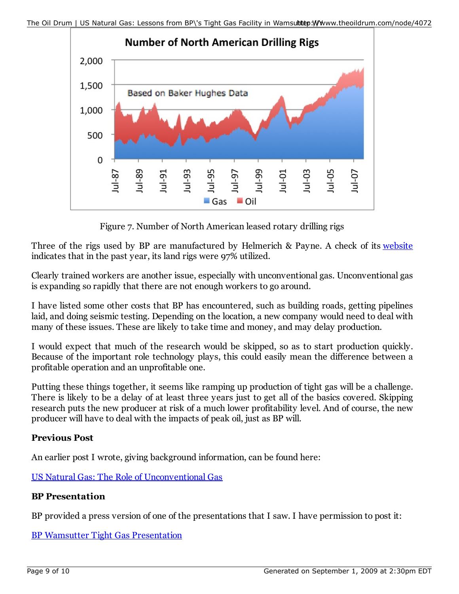

Figure 7. Number of North American leased rotary drilling rigs

Three of the rigs used by BP are manufactured by Helmerich & Payne. A check of its website indicates that in the past year, its land rigs were 97% utilized.

Clearly trained workers are another issue, especially with unconventional gas. Unconventional gas is expanding so rapidly that there are not enough workers to go around.

I have listed some other costs that BP has encountered, such as building roads, getting pipelines laid, and doing seismic testing. Depending on the location, a new company would need to deal with many of these issues. These are likely to take time and money, and may delay production.

I would expect that much of the research would be skipped, so as to start production quickly. Because of the important role technology plays, this could easily mean the difference between a profitable operation and an unprofitable one.

Putting these things together, it seems like ramping up production of tight gas will be a challenge. There is likely to be a delay of at least three years just to get all of the basics covered. Skipping research puts the new producer at risk of a much lower profitability level. And of course, the new producer will have to deal with the impacts of peak oil, just as BP will.

## **Previous Post**

An earlier post I wrote, giving background information, can be found here:

US Natural Gas: The Role of Unconventional Gas

## **BP Presentation**

BP provided a press version of one of the presentations that I saw. I have permission to post it:

BP Wamsutter Tight Gas Presentation